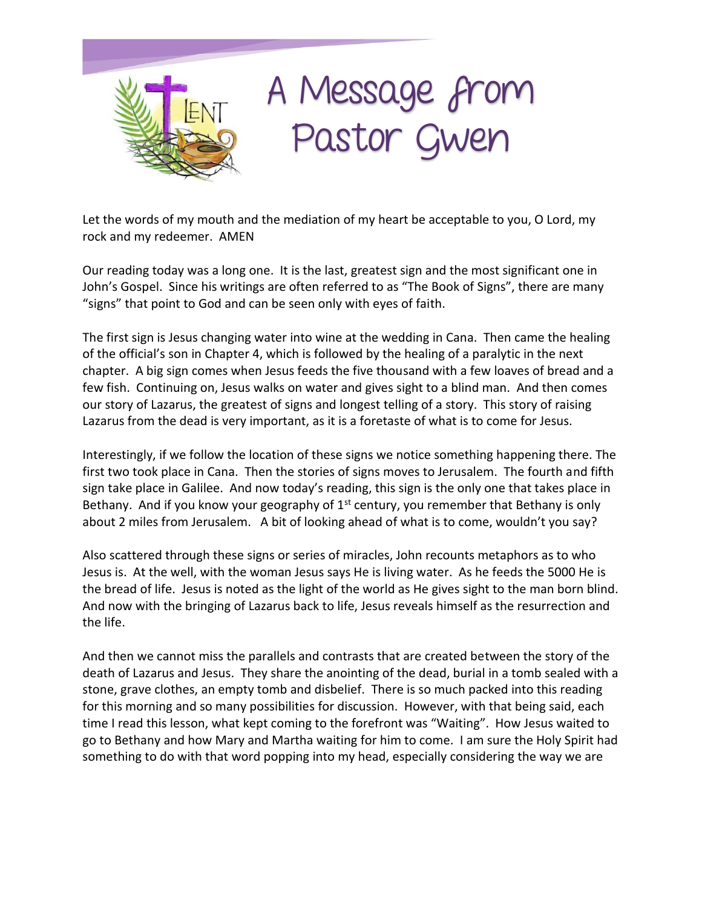## A Message from Pastor Gwen

Let the words of my mouth and the mediation of my heart be acceptable to you, O Lord, my rock and my redeemer. AMEN

Our reading today was a long one. It is the last, greatest sign and the most significant one in John's Gospel. Since his writings are often referred to as "The Book of Signs", there are many "signs" that point to God and can be seen only with eyes of faith.

The first sign is Jesus changing water into wine at the wedding in Cana. Then came the healing of the official's son in Chapter 4, which is followed by the healing of a paralytic in the next chapter. A big sign comes when Jesus feeds the five thousand with a few loaves of bread and a few fish. Continuing on, Jesus walks on water and gives sight to a blind man. And then comes our story of Lazarus, the greatest of signs and longest telling of a story. This story of raising Lazarus from the dead is very important, as it is a foretaste of what is to come for Jesus.

Interestingly, if we follow the location of these signs we notice something happening there. The first two took place in Cana. Then the stories of signs moves to Jerusalem. The fourth and fifth sign take place in Galilee. And now today's reading, this sign is the only one that takes place in Bethany. And if you know your geography of  $1<sup>st</sup>$  century, you remember that Bethany is only about 2 miles from Jerusalem. A bit of looking ahead of what is to come, wouldn't you say?

Also scattered through these signs or series of miracles, John recounts metaphors as to who Jesus is. At the well, with the woman Jesus says He is living water. As he feeds the 5000 He is the bread of life. Jesus is noted as the light of the world as He gives sight to the man born blind. And now with the bringing of Lazarus back to life, Jesus reveals himself as the resurrection and the life.

And then we cannot miss the parallels and contrasts that are created between the story of the death of Lazarus and Jesus. They share the anointing of the dead, burial in a tomb sealed with a stone, grave clothes, an empty tomb and disbelief. There is so much packed into this reading for this morning and so many possibilities for discussion. However, with that being said, each time I read this lesson, what kept coming to the forefront was "Waiting". How Jesus waited to go to Bethany and how Mary and Martha waiting for him to come. I am sure the Holy Spirit had something to do with that word popping into my head, especially considering the way we are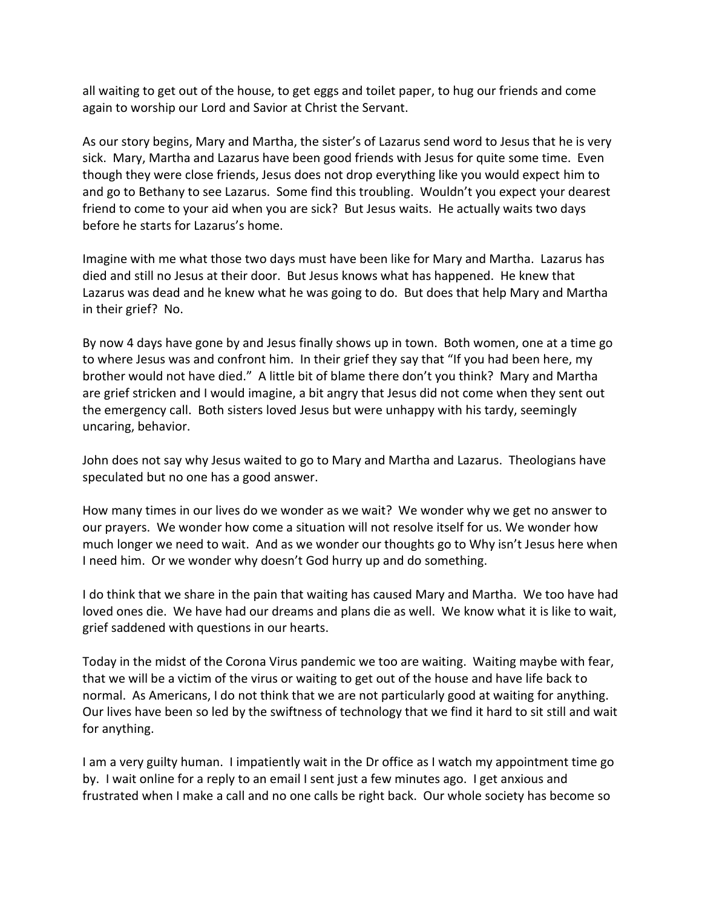all waiting to get out of the house, to get eggs and toilet paper, to hug our friends and come again to worship our Lord and Savior at Christ the Servant.

As our story begins, Mary and Martha, the sister's of Lazarus send word to Jesus that he is very sick. Mary, Martha and Lazarus have been good friends with Jesus for quite some time. Even though they were close friends, Jesus does not drop everything like you would expect him to and go to Bethany to see Lazarus. Some find this troubling. Wouldn't you expect your dearest friend to come to your aid when you are sick? But Jesus waits. He actually waits two days before he starts for Lazarus's home.

Imagine with me what those two days must have been like for Mary and Martha. Lazarus has died and still no Jesus at their door. But Jesus knows what has happened. He knew that Lazarus was dead and he knew what he was going to do. But does that help Mary and Martha in their grief? No.

By now 4 days have gone by and Jesus finally shows up in town. Both women, one at a time go to where Jesus was and confront him. In their grief they say that "If you had been here, my brother would not have died." A little bit of blame there don't you think? Mary and Martha are grief stricken and I would imagine, a bit angry that Jesus did not come when they sent out the emergency call. Both sisters loved Jesus but were unhappy with his tardy, seemingly uncaring, behavior.

John does not say why Jesus waited to go to Mary and Martha and Lazarus. Theologians have speculated but no one has a good answer.

How many times in our lives do we wonder as we wait? We wonder why we get no answer to our prayers. We wonder how come a situation will not resolve itself for us. We wonder how much longer we need to wait. And as we wonder our thoughts go to Why isn't Jesus here when I need him. Or we wonder why doesn't God hurry up and do something.

I do think that we share in the pain that waiting has caused Mary and Martha. We too have had loved ones die. We have had our dreams and plans die as well. We know what it is like to wait, grief saddened with questions in our hearts.

Today in the midst of the Corona Virus pandemic we too are waiting. Waiting maybe with fear, that we will be a victim of the virus or waiting to get out of the house and have life back to normal. As Americans, I do not think that we are not particularly good at waiting for anything. Our lives have been so led by the swiftness of technology that we find it hard to sit still and wait for anything.

I am a very guilty human. I impatiently wait in the Dr office as I watch my appointment time go by. I wait online for a reply to an email I sent just a few minutes ago. I get anxious and frustrated when I make a call and no one calls be right back. Our whole society has become so